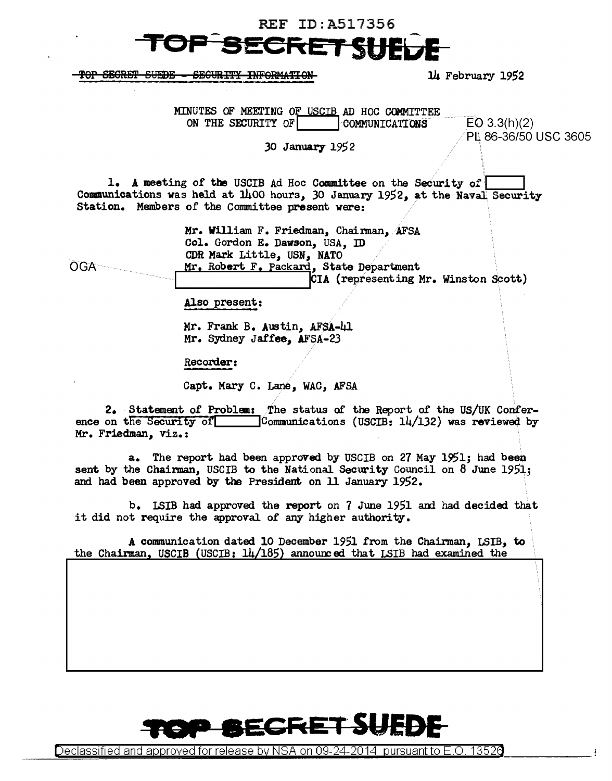## **REF ID:A517356** C<del>ret Ghi</del>

-TOP SECRET SUEDE - SECURITY INFORMATION

14 February 1952

MINUTES OF MEETING OF USCIB AD HOC COMMITTEE ON THE SECURITY OF  $\vert$  communications  $EQ$  3.3(h)(2) PL. 86-36/50 USC 3605 30 **January** 1952 1. A meeting of the USCIB Ad Hoc Committee on the Security of  $\overline{I}$ Communications was held at  $1400$  hours, 30 January 1952, at the Naval Security Station. Members of the Committee present were: OGA Mr. William F. Friedman, Chairman, AFSA Col. Gordon E. Dawson, USA, ID CDR Mark Little, USN, NATO Mr, Robert F. Packard, State Department CIA (representing Mr. Winston Scott) Also present: Mr. Frank B, Austin, AFSA-41 Mr. Sydney Jaffee, AFsA-23 Recorder: Capt. Mary c. Lane, WAC, AFSA 2. Statement of Problem: . The status of the Report of the US/UK Conference on the Security of  $\Box$  Communications (USCIB:  $14/132$ ) was reviewed by Mr. Friedman, viz.: a. The report had been approved by USCIB on 27 May 1951; had been sent by the Chairman, USCIB to the National Security Council on 8 June 1951; and had been approved by the President on 11 January 1952. b. LSIB had approved the report on 7 June 1951 and had decided that it did not require the approval of any higher authority. A conununication dated 10 December 1951 from the Chairman, LSIB, to the Chairman, USCIB (USCIB:  $14/185$ ) announced that LSIB had examined the



Declassified and approved for release by NSA on 09-24-2014  $\,$  pursuant to E.O. 1352 $0$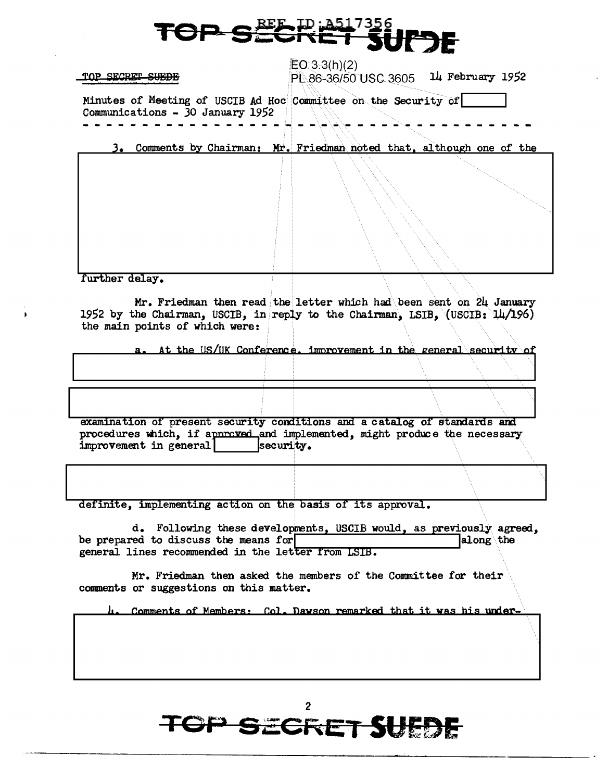## **TOP SECRE**

TOP SECRET SUEDE

 $EO 3.3(h)(2)$  $P$ . 86-36/50 USC 3605 14 February 1952

Minutes of Meeting of USCIB Ad Hoc Committee on the Security of  $\boxed{\text{Commutations - 30 January 1952}}$ 

Comments by Chairman: Mr. Friedman noted that, although one of the

further delay.

Mr. Friedman then read the letter which had been sent on 24 January 1952 by the Chairman, USCIB, in reply to the Chairman, LSIB,  $(USCIB: 14/196)$ the main points of which were:

at the US/UK Conference, improvement in the general security of

examination of present security conditions and a catalog of standards and procedures which, if approved and implemented, might produce the necessary improvement in general  $\vert$  security.

definite, implementing action on the basis of its approval.

d. Following these developments, USCIB would, as previously agreed, red to discuss the means for  $\vert$ be prepared to discuss the means for general lines recommended in the letter from LSIB.

Mr. Friedman then asked the members of the Committee for their conmenta or suggestions on this matter.

Comments of Members: Col. Dawson remarked that it was his under-

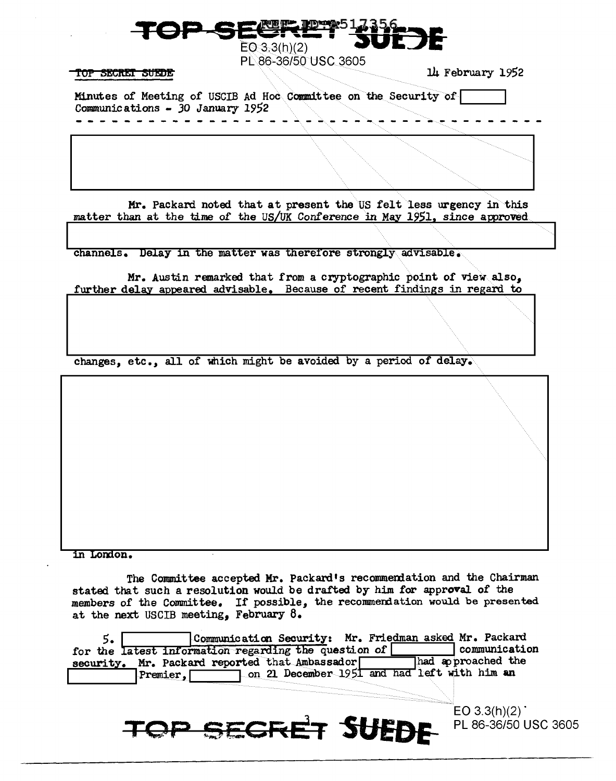$EO(3.3(h)(2))$ PL 86-36/50 USC 3605

## TOP SECRET SUEDE

14 February 1952

Minutes of Meeting of USCIB Ad Hoc Committee on the Security of Communications - 30 January 1952

Mr. Packard noted that at present the US felt less urgency in this matter than at the time of the US/UK Conference in May 1951, since approved

channels. Delay in the matter was therefore strongly advisable.

Mr. Austin remarked that from a cryptographic point of view also. further delay appeared advisable. Because of recent findings in regard to

changes, etc., all of which might be avoided by a period of delay.

in London.

The Committee accepted Mr. Packard's recommendation and the Chairman stated that such a resolution would be drafted by him for approval of the members of the Committee. If possible, the recommendation would be presented at the next USCIB meeting, February 8.

| ∍.                | Communication Security: Mr. Friedman asked Mr. Packard |                                                |                     |
|-------------------|--------------------------------------------------------|------------------------------------------------|---------------------|
|                   | for the latest information regarding the question of   |                                                | communication       |
|                   | security. Mr. Packard reported that Ambassador         |                                                | Thad approached the |
| $Premier, \lceil$ |                                                        | 7 on 21 December 1951 and had left with him an |                     |

TOP SECRET SUEDE

 $EO 3.3(h)(2)$ PL 86-36/50 USC 3605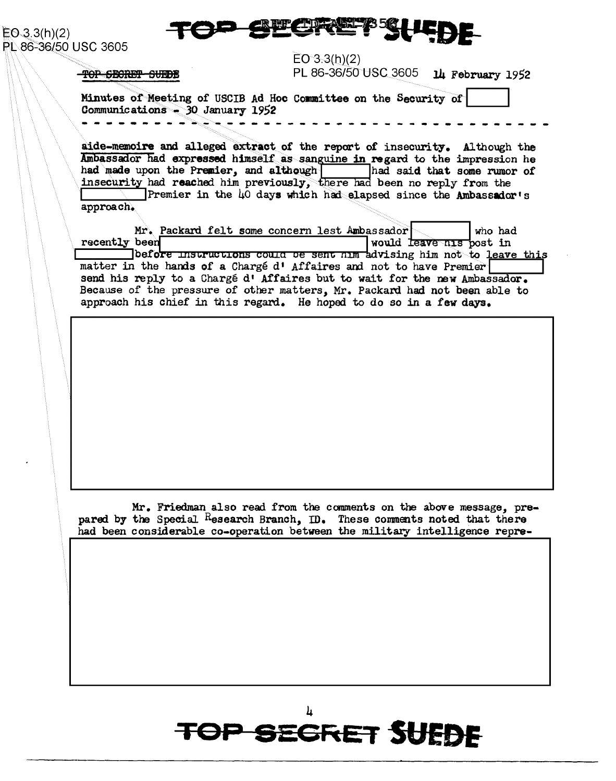

 $E0.3.3(h)(2)$ PL 86-36/50 USC 3605

 $EO 3.3(h)(2)$ 

TOP SECRET SUEDE

PL 86-36/50 USC 3605 14 February 1952

Minutes of Meeting of USCIB Ad Hoc Committee on the Security of Communications  $-30$  January 1952

aide-memoire and alleged extract of the report of insecurity. Although the Ambassador had expressed himself as sanguine in regard to the impression he had made upon the Premier, and although had said that some rumor of insecurity had reached him previously, there had been no reply from the Premier in the 40 days which had elapsed since the Ambassador's approach.

| Mr. Packard felt some concern lest Ambassador                                      |                                     | who had |
|------------------------------------------------------------------------------------|-------------------------------------|---------|
| recently been                                                                      | would <del>leave nis p</del> ost in |         |
| ]befo <del>re instructions could be sent him a</del> dvising him not to leave this |                                     |         |
| matter in the hands of a Chargé d' Affaires and not to have Premier                |                                     |         |
| send his reply to a Chargé d' Affaires but to wait for the new Ambassador.         |                                     |         |
| Because of the pressure of other matters, Mr. Packard had not been able to         |                                     |         |
| approach his chief in this regard. He hoped to do so in a few days.                |                                     |         |

Mr. Friedman also read from the comments on the above message, prepared by the Special Research Branch, ID. These comments noted that there had been considerable co-operation between the military intelligence repre-